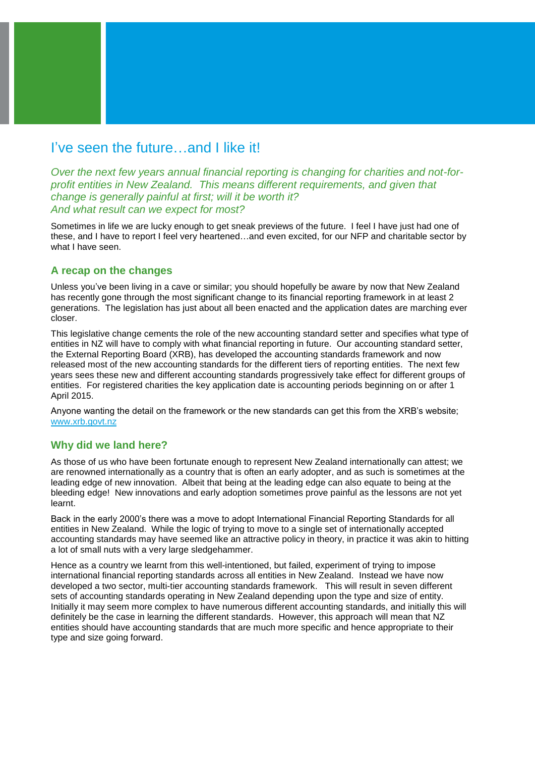## I've seen the future…and I like it!

*Over the next few years annual financial reporting is changing for charities and not-forprofit entities in New Zealand. This means different requirements, and given that change is generally painful at first; will it be worth it? And what result can we expect for most?*

Sometimes in life we are lucky enough to get sneak previews of the future. I feel I have just had one of these, and I have to report I feel very heartened…and even excited, for our NFP and charitable sector by what I have seen.

#### **A recap on the changes**

Unless you've been living in a cave or similar; you should hopefully be aware by now that New Zealand has recently gone through the most significant change to its financial reporting framework in at least 2 generations. The legislation has just about all been enacted and the application dates are marching ever closer.

This legislative change cements the role of the new accounting standard setter and specifies what type of entities in NZ will have to comply with what financial reporting in future. Our accounting standard setter, the External Reporting Board (XRB), has developed the accounting standards framework and now released most of the new accounting standards for the different tiers of reporting entities. The next few years sees these new and different accounting standards progressively take effect for different groups of entities. For registered charities the key application date is accounting periods beginning on or after 1 April 2015.

Anyone wanting the detail on the framework or the new standards can get this from the XRB's website; [www.xrb.govt.nz](http://www.xrb.govt.nz/)

### **Why did we land here?**

As those of us who have been fortunate enough to represent New Zealand internationally can attest; we are renowned internationally as a country that is often an early adopter, and as such is sometimes at the leading edge of new innovation. Albeit that being at the leading edge can also equate to being at the bleeding edge! New innovations and early adoption sometimes prove painful as the lessons are not yet learnt.

Back in the early 2000's there was a move to adopt International Financial Reporting Standards for all entities in New Zealand. While the logic of trying to move to a single set of internationally accepted accounting standards may have seemed like an attractive policy in theory, in practice it was akin to hitting a lot of small nuts with a very large sledgehammer.

Hence as a country we learnt from this well-intentioned, but failed, experiment of trying to impose international financial reporting standards across all entities in New Zealand. Instead we have now developed a two sector, multi-tier accounting standards framework. This will result in seven different sets of accounting standards operating in New Zealand depending upon the type and size of entity. Initially it may seem more complex to have numerous different accounting standards, and initially this will definitely be the case in learning the different standards. However, this approach will mean that NZ entities should have accounting standards that are much more specific and hence appropriate to their type and size going forward.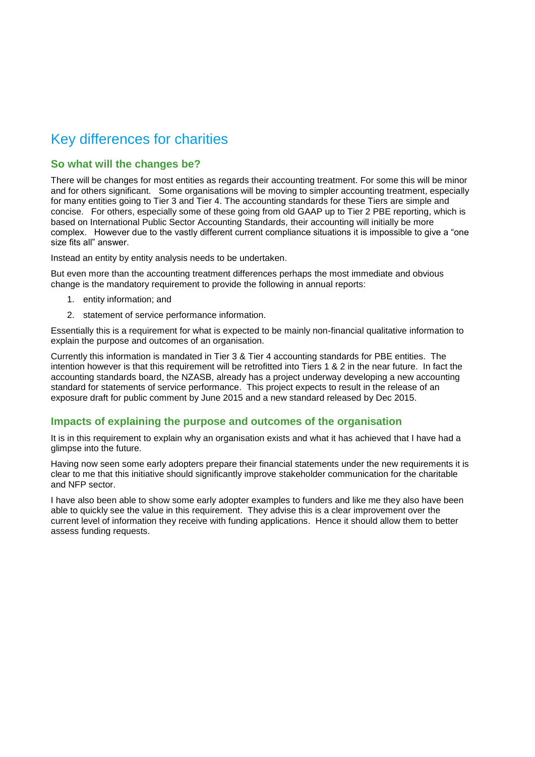# Key differences for charities

#### **So what will the changes be?**

There will be changes for most entities as regards their accounting treatment. For some this will be minor and for others significant. Some organisations will be moving to simpler accounting treatment, especially for many entities going to Tier 3 and Tier 4. The accounting standards for these Tiers are simple and concise. For others, especially some of these going from old GAAP up to Tier 2 PBE reporting, which is based on International Public Sector Accounting Standards, their accounting will initially be more complex. However due to the vastly different current compliance situations it is impossible to give a "one size fits all" answer.

Instead an entity by entity analysis needs to be undertaken.

But even more than the accounting treatment differences perhaps the most immediate and obvious change is the mandatory requirement to provide the following in annual reports:

- 1. entity information; and
- 2. statement of service performance information.

Essentially this is a requirement for what is expected to be mainly non-financial qualitative information to explain the purpose and outcomes of an organisation.

Currently this information is mandated in Tier 3 & Tier 4 accounting standards for PBE entities. The intention however is that this requirement will be retrofitted into Tiers 1 & 2 in the near future. In fact the accounting standards board, the NZASB, already has a project underway developing a new accounting standard for statements of service performance. This project expects to result in the release of an exposure draft for public comment by June 2015 and a new standard released by Dec 2015.

### **Impacts of explaining the purpose and outcomes of the organisation**

It is in this requirement to explain why an organisation exists and what it has achieved that I have had a glimpse into the future.

Having now seen some early adopters prepare their financial statements under the new requirements it is clear to me that this initiative should significantly improve stakeholder communication for the charitable and NFP sector.

I have also been able to show some early adopter examples to funders and like me they also have been able to quickly see the value in this requirement. They advise this is a clear improvement over the current level of information they receive with funding applications. Hence it should allow them to better assess funding requests.